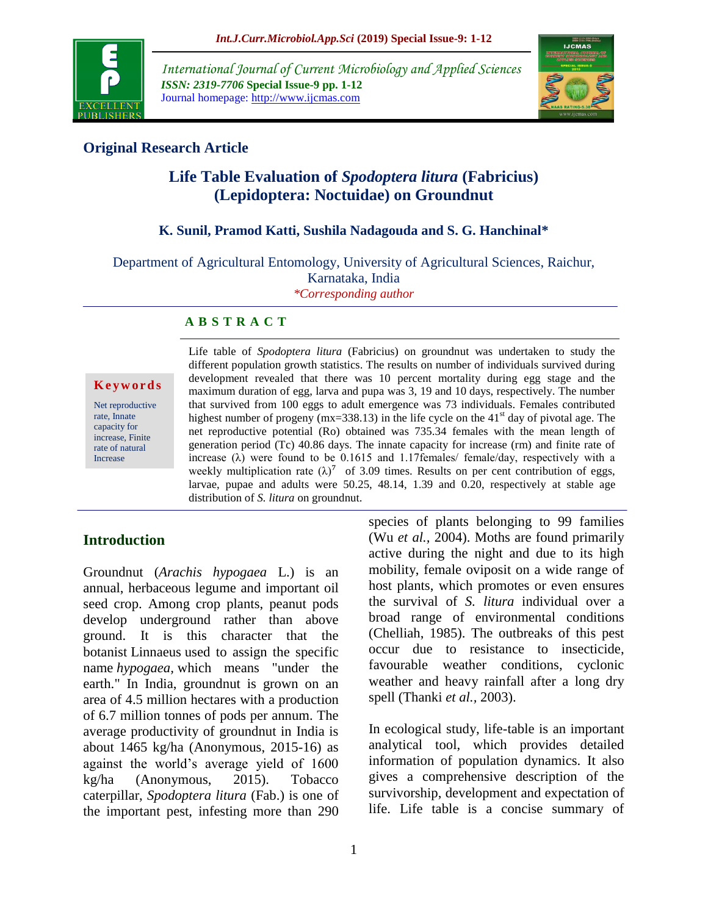

*International Journal of Current Microbiology and Applied Sciences ISSN: 2319-7706* **Special Issue-9 pp. 1-12** Journal homepage: http://www.ijcmas.com



## **Original Research Article**

# **Life Table Evaluation of** *Spodoptera litura* **(Fabricius) (Lepidoptera: Noctuidae) on Groundnut**

#### **K. Sunil, Pramod Katti, Sushila Nadagouda and S. G. Hanchinal\***

Department of Agricultural Entomology, University of Agricultural Sciences, Raichur,

Karnataka, India

*\*Corresponding author*

#### **A B S T R A C T**

#### **K e y w o r d s**

Net reproductive rate, Innate capacity for increase, Finite rate of natural Increase

Life table of *Spodoptera litura* (Fabricius) on groundnut was undertaken to study the different population growth statistics. The results on number of individuals survived during development revealed that there was 10 percent mortality during egg stage and the maximum duration of egg, larva and pupa was 3, 19 and 10 days, respectively. The number that survived from 100 eggs to adult emergence was 73 individuals. Females contributed highest number of progeny ( $mx=338.13$ ) in the life cycle on the 41<sup>st</sup> day of pivotal age. The net reproductive potential (Ro) obtained was 735.34 females with the mean length of generation period (Tc) 40.86 days. The innate capacity for increase (rm) and finite rate of increase  $(\lambda)$  were found to be 0.1615 and 1.17females/ female/day, respectively with a weekly multiplication rate  $(\lambda)^7$  of 3.09 times. Results on per cent contribution of eggs, larvae, pupae and adults were 50.25, 48.14, 1.39 and 0.20, respectively at stable age distribution of *S. litura* on groundnut.

## **Introduction**

Groundnut (*Arachis hypogaea* L.) is an annual, herbaceous legume and important oil seed crop. Among crop plants, peanut pods develop underground rather than above ground. It is this character that the botanist Linnaeus used to assign the specific name *hypogaea,* which means "under the earth." In India, groundnut is grown on an area of 4.5 million hectares with a production of 6.7 million tonnes of pods per annum. The average productivity of groundnut in India is about 1465 kg/ha (Anonymous, 2015-16) as against the world's average yield of 1600 kg/ha (Anonymous, 2015). Tobacco caterpillar, *Spodoptera litura* (Fab.) is one of the important pest, infesting more than 290

species of plants belonging to 99 families (Wu *et al.,* 2004). Moths are found primarily active during the night and due to its high mobility, female oviposit on a wide range of host plants, which promotes or even ensures the survival of *S. litura* individual over a broad range of environmental conditions (Chelliah, 1985). The outbreaks of this pest occur due to resistance to insecticide, favourable weather conditions, cyclonic weather and heavy rainfall after a long dry spell (Thanki *et al.,* 2003).

In ecological study, life-table is an important analytical tool, which provides detailed information of population dynamics. It also gives a comprehensive description of the survivorship, development and expectation of life. Life table is a concise summary of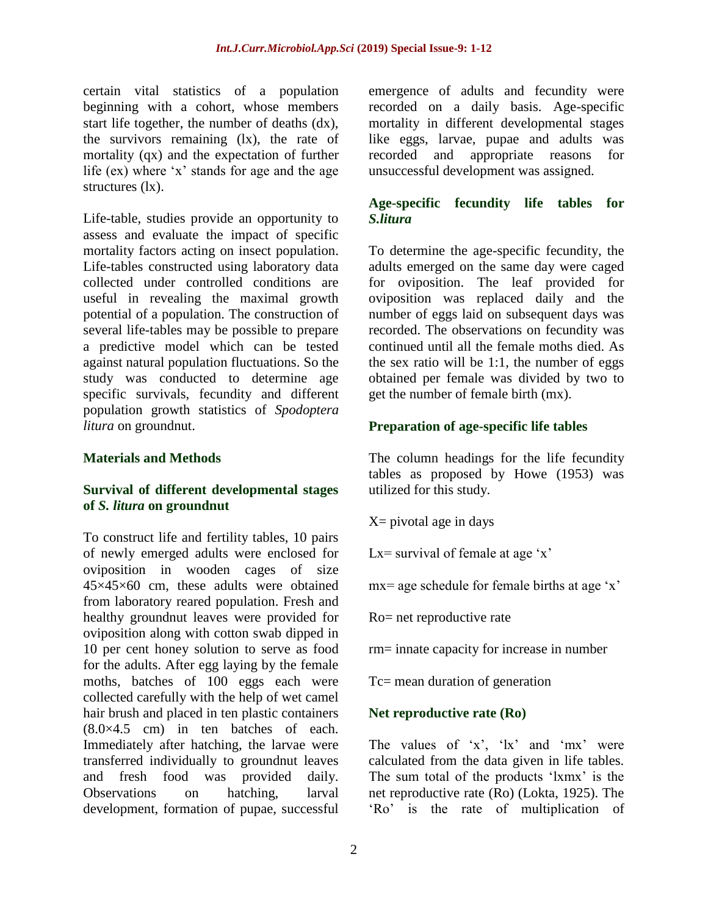certain vital statistics of a population beginning with a cohort, whose members start life together, the number of deaths (dx), the survivors remaining (lx), the rate of mortality (qx) and the expectation of further life (ex) where 'x' stands for age and the age structures (lx).

Life-table, studies provide an opportunity to assess and evaluate the impact of specific mortality factors acting on insect population. Life-tables constructed using laboratory data collected under controlled conditions are useful in revealing the maximal growth potential of a population. The construction of several life-tables may be possible to prepare a predictive model which can be tested against natural population fluctuations. So the study was conducted to determine age specific survivals, fecundity and different population growth statistics of *Spodoptera litura* on groundnut.

#### **Materials and Methods**

#### **Survival of different developmental stages of** *S. litura* **on groundnut**

To construct life and fertility tables, 10 pairs of newly emerged adults were enclosed for oviposition in wooden cages of size 45×45×60 cm, these adults were obtained from laboratory reared population. Fresh and healthy groundnut leaves were provided for oviposition along with cotton swab dipped in 10 per cent honey solution to serve as food for the adults. After egg laying by the female moths, batches of 100 eggs each were collected carefully with the help of wet camel hair brush and placed in ten plastic containers  $(8.0\times4.5$  cm) in ten batches of each. Immediately after hatching, the larvae were transferred individually to groundnut leaves and fresh food was provided daily. Observations on hatching, larval development, formation of pupae, successful

emergence of adults and fecundity were recorded on a daily basis. Age-specific mortality in different developmental stages like eggs, larvae, pupae and adults was recorded and appropriate reasons for unsuccessful development was assigned.

## **Age-specific fecundity life tables for**  *S.litura*

To determine the age-specific fecundity, the adults emerged on the same day were caged for oviposition. The leaf provided for oviposition was replaced daily and the number of eggs laid on subsequent days was recorded. The observations on fecundity was continued until all the female moths died. As the sex ratio will be 1:1, the number of eggs obtained per female was divided by two to get the number of female birth (mx).

## **Preparation of age-specific life tables**

The column headings for the life fecundity tables as proposed by Howe (1953) was utilized for this study.

 $X=$  pivotal age in days

Lx= survival of female at age  $x'$ 

mx= age schedule for female births at age 'x'

Ro= net reproductive rate

rm= innate capacity for increase in number

Tc= mean duration of generation

## **Net reproductive rate (Ro)**

The values of  $x'$ ,  $x'$  and  $mx'$  were calculated from the data given in life tables. The sum total of the products 'lxmx' is the net reproductive rate (Ro) (Lokta, 1925). The 'Ro' is the rate of multiplication of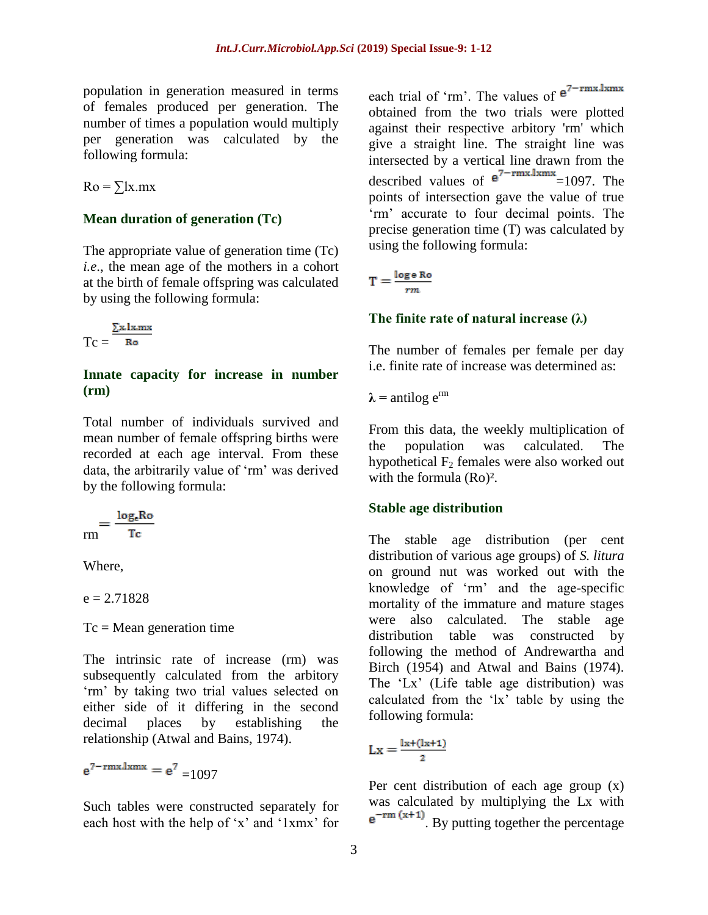population in generation measured in terms of females produced per generation. The number of times a population would multiply per generation was calculated by the following formula:

 $Ro = \sum x$ .mx

#### **Mean duration of generation (Tc)**

The appropriate value of generation time (Tc) *i.e*., the mean age of the mothers in a cohort at the birth of female offspring was calculated by using the following formula:

$$
Tc = \frac{\sum x. l x.m x}{Ro}
$$

#### **Innate capacity for increase in number (rm)**

Total number of individuals survived and mean number of female offspring births were recorded at each age interval. From these data, the arbitrarily value of 'rm' was derived by the following formula:

$$
_{rm}=\frac{\log_{e}Ro}{Tc}
$$

Where,

 $e = 2.71828$ 

 $Tc = Mean$  generation time

The intrinsic rate of increase (rm) was subsequently calculated from the arbitory 'rm' by taking two trial values selected on either side of it differing in the second decimal places by establishing the relationship (Atwal and Bains, 1974).

 $e^{7-rmx.lxmx} = e^7 \n= 1097$ 

Such tables were constructed separately for each host with the help of 'x' and '1xmx' for

each trial of 'rm'. The values of  $e^{7-rmx.lxmx}$ obtained from the two trials were plotted against their respective arbitory 'rm' which give a straight line. The straight line was intersected by a vertical line drawn from the described values of  $e^{7 - \text{rmx.lxmx}} = 1097$ . The points of intersection gave the value of true 'rm' accurate to four decimal points. The precise generation time (T) was calculated by using the following formula:

$$
\Gamma = \frac{\log e \operatorname{Ro}}{rm}
$$

#### **The finite rate of natural increase (λ)**

The number of females per female per day i.e. finite rate of increase was determined as:

 $\lambda$  = antilog  $e^{rm}$ 

From this data, the weekly multiplication of the population was calculated. The hypothetical  $F_2$  females were also worked out with the formula (Ro)².

#### **Stable age distribution**

The stable age distribution (per cent distribution of various age groups) of *S. litura* on ground nut was worked out with the knowledge of 'rm' and the age-specific mortality of the immature and mature stages were also calculated. The stable age distribution table was constructed by following the method of Andrewartha and Birch (1954) and Atwal and Bains (1974). The 'Lx' (Life table age distribution) was calculated from the 'lx' table by using the following formula:

$$
Lx=\frac{l x\text{+}(l x\text{+}1)}{2}
$$

Per cent distribution of each age group (x) was calculated by multiplying the Lx with  $e^{-rm (x+1)}$ . By putting together the percentage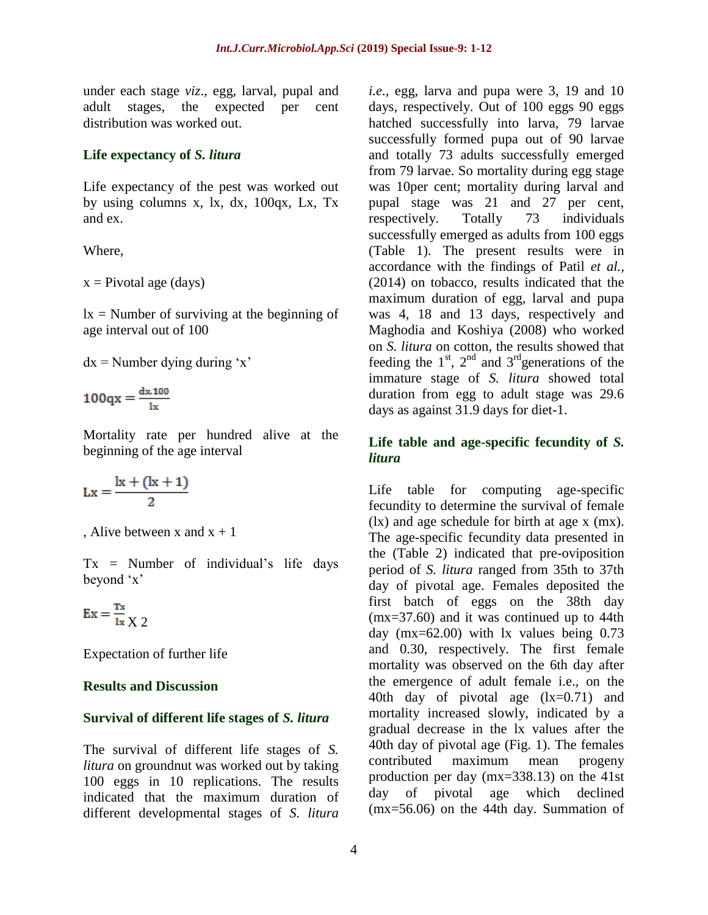under each stage *viz*., egg, larval, pupal and adult stages, the expected per cent distribution was worked out.

#### **Life expectancy of** *S. litura*

Life expectancy of the pest was worked out by using columns x, lx, dx, 100qx, Lx, Tx and ex.

Where,

 $x = Pivotal age (days)$ 

 $lx =$  Number of surviving at the beginning of age interval out of 100

 $dx =$ Number dying during 'x'

 $100qx = \frac{dx \cdot 100}{1x}$ 

Mortality rate per hundred alive at the beginning of the age interval

$$
Lx = \frac{k + (k + 1)}{2}
$$

, Alive between x and  $x + 1$ 

 $Tx =$  Number of individual's life days beyond 'x'

$$
Ex = \frac{Tx}{lx} \times 2
$$

Expectation of further life

#### **Results and Discussion**

#### **Survival of different life stages of** *S. litura*

The survival of different life stages of *S. litura* on groundnut was worked out by taking 100 eggs in 10 replications. The results indicated that the maximum duration of different developmental stages of *S. litura*

*i.e.,* egg, larva and pupa were 3, 19 and 10 days, respectively. Out of 100 eggs 90 eggs hatched successfully into larva, 79 larvae successfully formed pupa out of 90 larvae and totally 73 adults successfully emerged from 79 larvae. So mortality during egg stage was 10per cent; mortality during larval and pupal stage was 21 and 27 per cent, respectively. Totally 73 individuals successfully emerged as adults from 100 eggs (Table 1). The present results were in accordance with the findings of Patil *et al.,*  (2014) on tobacco, results indicated that the maximum duration of egg, larval and pupa was 4, 18 and 13 days, respectively and Maghodia and Koshiya (2008) who worked on *S. litura* on cotton, the results showed that feeding the  $1<sup>st</sup>$ ,  $2<sup>nd</sup>$  and  $3<sup>rd</sup>$  generations of the immature stage of *S. litura* showed total duration from egg to adult stage was 29.6 days as against 31.9 days for diet-1.

## **Life table and age-specific fecundity of** *S. litura*

Life table for computing age-specific fecundity to determine the survival of female (lx) and age schedule for birth at age x (mx). The age-specific fecundity data presented in the (Table 2) indicated that pre-oviposition period of *S. litura* ranged from 35th to 37th day of pivotal age. Females deposited the first batch of eggs on the 38th day (mx=37.60) and it was continued up to 44th day (mx=62.00) with lx values being 0.73 and 0.30, respectively. The first female mortality was observed on the 6th day after the emergence of adult female i.e., on the 40th day of pivotal age (lx=0.71) and mortality increased slowly, indicated by a gradual decrease in the lx values after the 40th day of pivotal age (Fig. 1). The females contributed maximum mean progeny production per day (mx=338.13) on the 41st day of pivotal age which declined (mx=56.06) on the 44th day. Summation of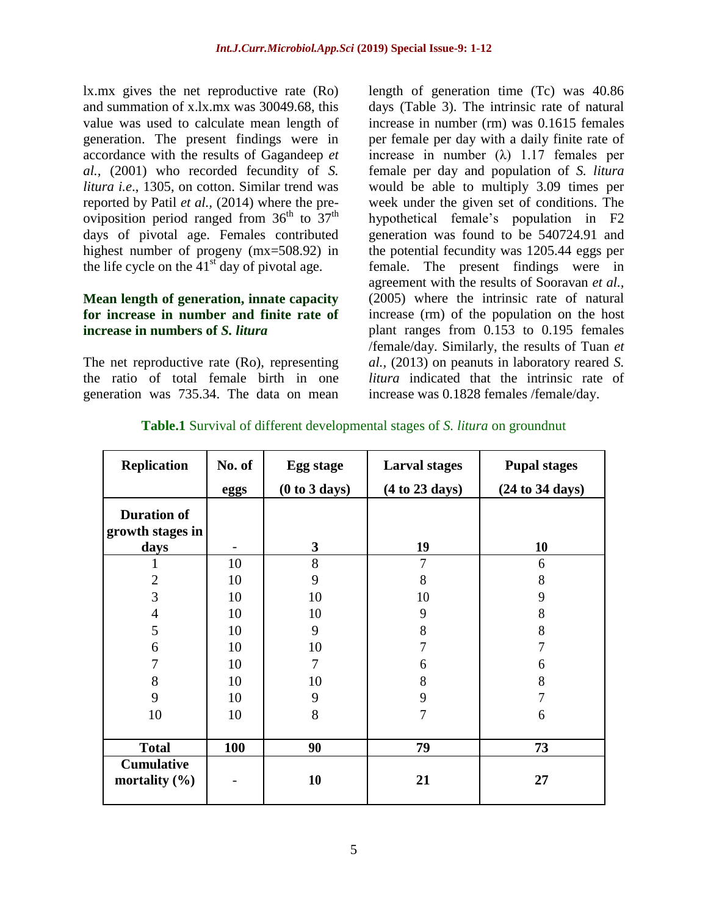lx.mx gives the net reproductive rate (Ro) and summation of x.lx.mx was 30049.68, this value was used to calculate mean length of generation. The present findings were in accordance with the results of Gagandeep *et al.,* (2001) who recorded fecundity of *S. litura i.e*., 1305, on cotton. Similar trend was reported by Patil *et al.,* (2014) where the preoviposition period ranged from  $36<sup>th</sup>$  to  $37<sup>th</sup>$ days of pivotal age. Females contributed highest number of progeny (mx=508.92) in the life cycle on the  $41<sup>st</sup>$  day of pivotal age.

## **Mean length of generation, innate capacity for increase in number and finite rate of increase in numbers of** *S. litura*

The net reproductive rate (Ro), representing the ratio of total female birth in one generation was 735.34. The data on mean

length of generation time (Tc) was 40.86 days (Table 3). The intrinsic rate of natural increase in number (rm) was 0.1615 females per female per day with a daily finite rate of increase in number  $(\lambda)$  1.17 females per female per day and population of *S. litura* would be able to multiply 3.09 times per week under the given set of conditions. The hypothetical female's population in F2 generation was found to be 540724.91 and the potential fecundity was 1205.44 eggs per female. The present findings were in agreement with the results of Sooravan *et al.,*  (2005) where the intrinsic rate of natural increase (rm) of the population on the host plant ranges from 0.153 to 0.195 females /female/day. Similarly, the results of Tuan *et al.,* (2013) on peanuts in laboratory reared *S. litura* indicated that the intrinsic rate of increase was 0.1828 females /female/day.

| <b>Replication</b>                             | No. of | <b>Egg stage</b> | <b>Larval stages</b> | <b>Pupal stages</b> |  |
|------------------------------------------------|--------|------------------|----------------------|---------------------|--|
|                                                | eggs   | (0 to 3 days)    | (4 to 23 days)       | (24 to 34 days)     |  |
| <b>Duration of</b><br>growth stages in<br>days |        | $\mathbf{3}$     | 19                   | 10                  |  |
| -1                                             | 10     | 8                | 7                    | 6                   |  |
| $\overline{2}$                                 | 10     | 9                | 8                    | 8                   |  |
| 3                                              | 10     | 10               | 10                   | 9                   |  |
| $\overline{4}$                                 | 10     | 10               | 9                    | 8                   |  |
| 5                                              | 10     | 9                | 8                    | 8                   |  |
| 6                                              | 10     | 10               | 7                    | 7                   |  |
| 7                                              | 10     | $\overline{7}$   | 6                    | 6                   |  |
| 8                                              | 10     | 10               | 8                    | 8                   |  |
| 9                                              | 10     | 9                | 9                    |                     |  |
| 10                                             | 10     | 8                | 7                    | 6                   |  |
|                                                |        |                  |                      |                     |  |
| <b>Total</b>                                   | 100    | 90               | 79                   | 73                  |  |
| <b>Cumulative</b><br>mortality $(\% )$         |        | 10               | 21                   | 27                  |  |

**Table.1** Survival of different developmental stages of *S. litura* on groundnut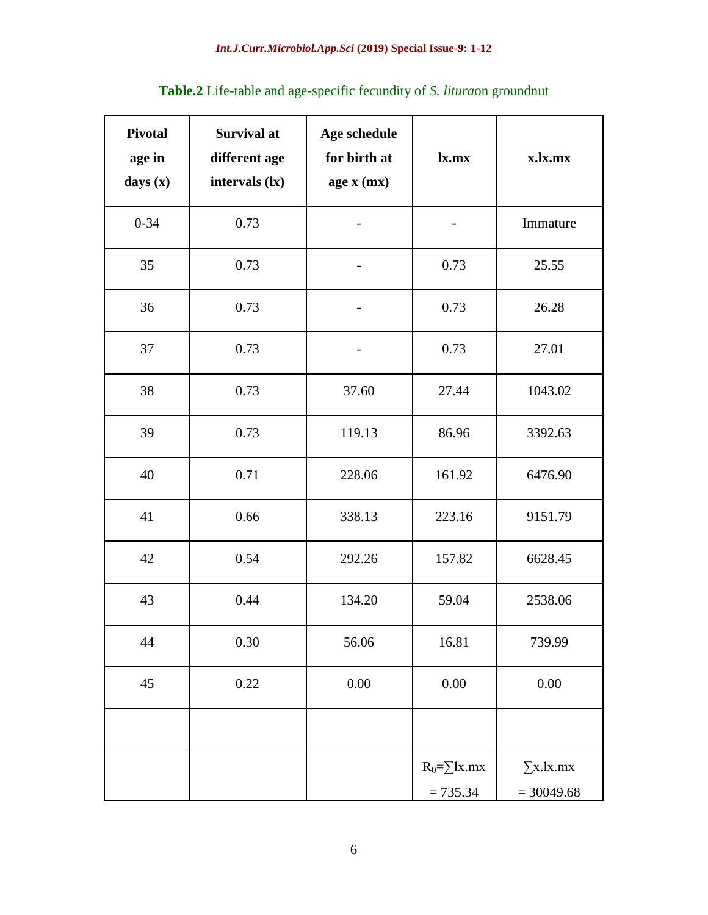| <b>Pivotal</b><br>age in<br>days (x) | <b>Survival at</b><br>different age<br>intervals (lx) | Age schedule<br>for birth at<br>age x (mx) | lx.mx                            | x.lx.mx                          |
|--------------------------------------|-------------------------------------------------------|--------------------------------------------|----------------------------------|----------------------------------|
| $0 - 34$                             | 0.73                                                  |                                            |                                  | Immature                         |
| 35                                   | 0.73                                                  |                                            | 0.73                             | 25.55                            |
| 36                                   | 0.73                                                  |                                            | 0.73                             | 26.28                            |
| 37                                   | 0.73                                                  |                                            | 0.73                             | 27.01                            |
| 38                                   | 0.73                                                  | 37.60                                      | 27.44                            | 1043.02                          |
| 39                                   | 0.73                                                  | 119.13                                     | 86.96                            | 3392.63                          |
| 40                                   | 0.71                                                  | 228.06                                     | 161.92                           | 6476.90                          |
| 41                                   | 0.66                                                  | 338.13<br>223.16                           |                                  | 9151.79                          |
| 42                                   | 0.54<br>292.26                                        |                                            | 157.82                           | 6628.45                          |
| 43                                   | 0.44                                                  | 134.20                                     | 59.04                            | 2538.06                          |
| $44$                                 | 16.81<br>0.30<br>56.06                                |                                            |                                  | 739.99                           |
| 45                                   | 0.22                                                  | $0.00\,$                                   | $0.00\,$                         | $0.00\,$                         |
|                                      |                                                       |                                            |                                  |                                  |
|                                      |                                                       |                                            | $R_0 = \sum$ lx.mx<br>$= 735.34$ | $\Sigma$ x.lx.mx<br>$= 30049.68$ |

# **Table.2** Life-table and age-specific fecundity of *S. litura*on groundnut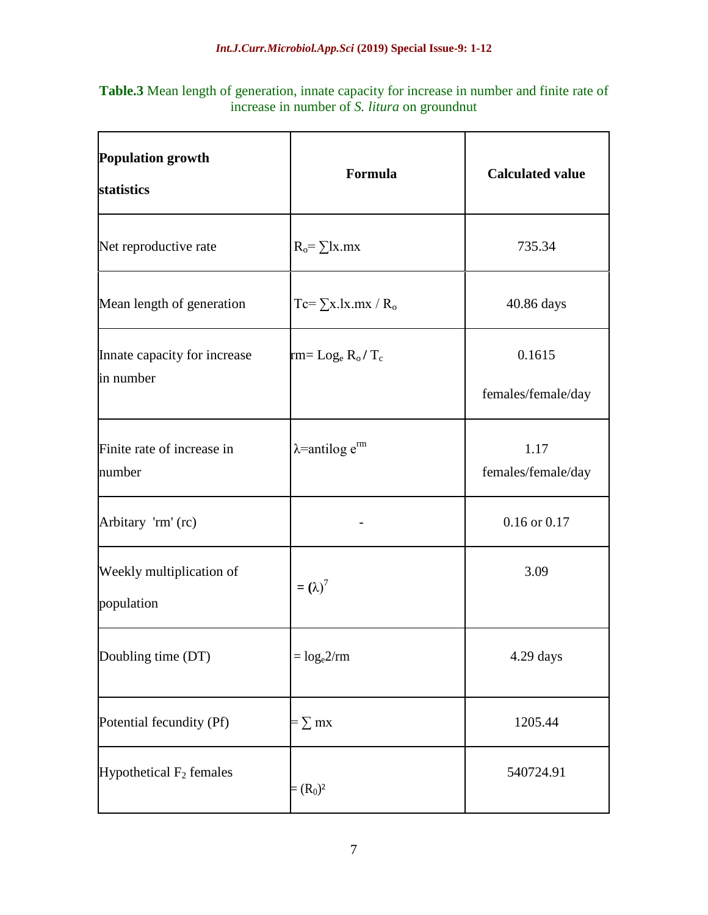**Table.3** Mean length of generation, innate capacity for increase in number and finite rate of increase in number of *S. litura* on groundnut

| <b>Population growth</b><br>statistics    | Formula                            | <b>Calculated value</b>      |  |
|-------------------------------------------|------------------------------------|------------------------------|--|
| Net reproductive rate                     | $R_0 = \sum x \cdot mx$            | 735.34                       |  |
| Mean length of generation                 | $Tc = \sum x.lx.mx / R_o$          | 40.86 days                   |  |
| Innate capacity for increase<br>in number | $rm = Log_e R_o/T_c$               | 0.1615<br>females/female/day |  |
| Finite rate of increase in<br>number      | $\lambda$ =antilog e <sup>rm</sup> | 1.17<br>females/female/day   |  |
| Arbitary 'rm' (rc)                        |                                    | $0.16$ or $0.17$             |  |
| Weekly multiplication of<br>population    | $=(\lambda)^7$                     | 3.09                         |  |
| Doubling time (DT)                        | $=$ $log_e 2/rm$                   | 4.29 days                    |  |
| Potential fecundity (Pf)                  | $=\sum mx$                         | 1205.44                      |  |
| Hypothetical $F_2$ females                | $=(R_0)^2$                         | 540724.91                    |  |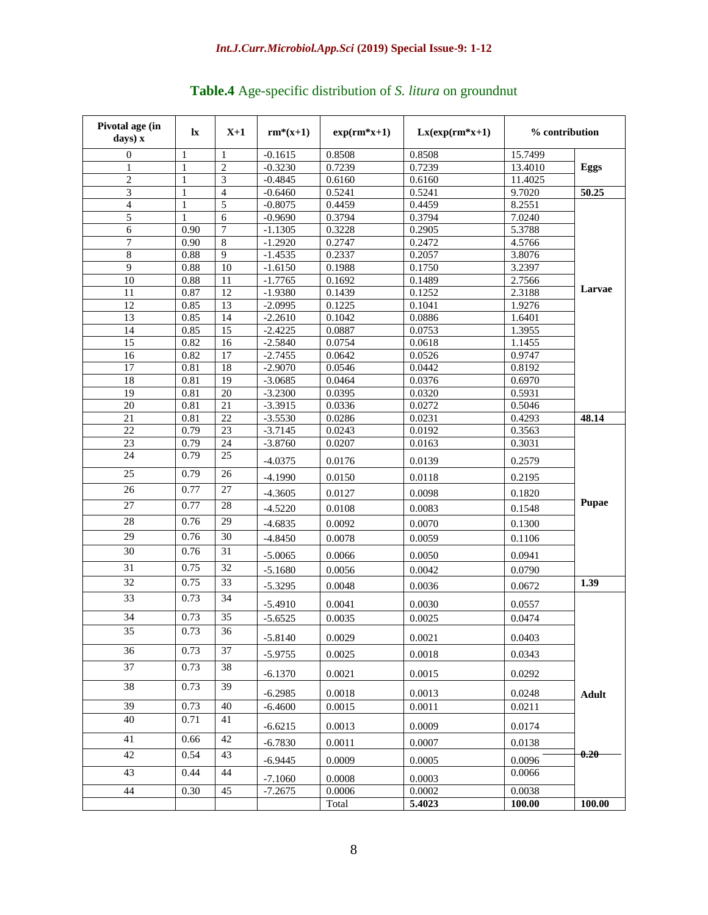| Pivotal age (in<br>days) x | $\mathbf{I}$ | $X+1$                 | $rm^*(x+1)$            | $exp(rm*x+1)$    | $Lx(exp(rm*x+1))$ |                  | % contribution |
|----------------------------|--------------|-----------------------|------------------------|------------------|-------------------|------------------|----------------|
| $\overline{0}$             | 1            | 1                     | $-0.1615$              | 0.8508           | 0.8508            | 15.7499          |                |
| 1                          | 1            | $\overline{2}$        | $-0.3230$              | 0.7239           | 0.7239            | 13.4010          | Eggs           |
| $\overline{2}$             | $\mathbf{1}$ | $\overline{3}$        | $-0.4845$              | 0.6160           | 0.6160            | 11.4025          |                |
| $\overline{\mathbf{3}}$    | $\mathbf{1}$ | $\overline{4}$        | $-0.6460$              | 0.5241           | 0.5241            | 9.7020           | 50.25          |
| 4                          | $\mathbf{1}$ | 5                     | $-0.8075$              | 0.4459           | 0.4459            | 8.2551           |                |
| 5                          | 1            | 6                     | $-0.9690$              | 0.3794           | 0.3794            | 7.0240           |                |
| $\overline{6}$             | 0.90         | $\overline{7}$        | $-1.1305$              | 0.3228           | 0.2905            | 5.3788           |                |
| 7                          | 0.90         | 8                     | $-1.2920$              | 0.2747           | 0.2472            | 4.5766           |                |
| 8                          | 0.88         | 9                     | $-1.4535$              | 0.2337           | 0.2057            | 3.8076           |                |
| $\overline{9}$             | 0.88         | $\overline{10}$       | $-1.6150$              | 0.1988           | 0.1750            | 3.2397           |                |
| 10                         | 0.88         | 11                    | $-1.7765$              | 0.1692           | 0.1489            | 2.7566           | Larvae         |
| 11                         | 0.87         | 12                    | $-1.9380$              | 0.1439           | 0.1252            | 2.3188           |                |
| 12<br>13                   | 0.85<br>0.85 | $\overline{13}$<br>14 | $-2.0995$<br>$-2.2610$ | 0.1225<br>0.1042 | 0.1041<br>0.0886  | 1.9276           |                |
| 14                         | 0.85         | 15                    | $-2.4225$              | 0.0887           | 0.0753            | 1.6401<br>1.3955 |                |
| 15                         | 0.82         | 16                    | $-2.5840$              | 0.0754           | 0.0618            | 1.1455           |                |
| 16                         | 0.82         | 17                    | $-2.7455$              | 0.0642           | 0.0526            | 0.9747           |                |
| $\overline{17}$            | 0.81         | 18                    | $-2.9070$              | 0.0546           | 0.0442            | 0.8192           |                |
| 18                         | 0.81         | 19                    | $-3.0685$              | 0.0464           | 0.0376            | 0.6970           |                |
| $\overline{19}$            | 0.81         | 20                    | $-3.2300$              | 0.0395           | 0.0320            | 0.5931           |                |
| 20                         | 0.81         | 21                    | $-3.3915$              | 0.0336           | 0.0272            | 0.5046           |                |
| $\overline{21}$            | 0.81         | $\overline{22}$       | $-3.5530$              | 0.0286           | 0.0231            | 0.4293           | 48.14          |
| 22                         | 0.79         | 23                    | $-3.7145$              | 0.0243           | 0.0192            | 0.3563           |                |
| 23                         | 0.79         | 24                    | $-3.8760$              | 0.0207           | 0.0163            | 0.3031           |                |
| 24                         | 0.79         | $\overline{25}$       | $-4.0375$              | 0.0176           | 0.0139            | 0.2579           |                |
| 25                         | 0.79         | 26                    | $-4.1990$              | 0.0150           | 0.0118            | 0.2195           |                |
| 26                         | 0.77         | $\overline{27}$       | $-4.3605$              | 0.0127           | 0.0098            | 0.1820           |                |
| 27                         | 0.77         | $\overline{28}$       | $-4.5220$              | 0.0108           | 0.0083            | 0.1548           | <b>Pupae</b>   |
| 28                         | 0.76         | 29                    | $-4.6835$              | 0.0092           | 0.0070            | 0.1300           |                |
| 29                         | 0.76         | 30                    | $-4.8450$              | 0.0078           | 0.0059            | 0.1106           |                |
| 30                         | 0.76         | 31                    | $-5.0065$              | 0.0066           | 0.0050            | 0.0941           |                |
| 31                         | 0.75         | 32                    |                        |                  |                   |                  |                |
|                            |              |                       | $-5.1680$              | 0.0056           | 0.0042            | 0.0790           |                |
| 32                         | 0.75         | 33                    | $-5.3295$              | 0.0048           | 0.0036            | 0.0672           | 1.39           |
| $\overline{33}$            | 0.73         | 34                    | $-5.4910$              | 0.0041           | 0.0030            | 0.0557           |                |
| 34                         | 0.73         | 35                    | $-5.6525$              | 0.0035           | 0.0025            | 0.0474           |                |
| $\overline{35}$            | 0.73         | 36                    | $-5.8140$              | 0.0029           | 0.0021            | 0.0403           |                |
| 36                         | 0.73         | 37                    | $-5.9755$              | 0.0025           | 0.0018            | 0.0343           |                |
| 37                         | 0.73         | 38                    | $-6.1370$              | 0.0021           | 0.0015            | 0.0292           |                |
| 38                         | 0.73         | 39                    | $-6.2985$              | 0.0018           | 0.0013            | 0.0248           | Adult          |
| 39                         | 0.73         | 40                    | $-6.4600$              | 0.0015           | 0.0011            | 0.0211           |                |
| 40                         | 0.71         | 41                    | $-6.6215$              | 0.0013           | 0.0009            | 0.0174           |                |
| 41                         | 0.66         | 42                    | $-6.7830$              | 0.0011           | 0.0007            | 0.0138           |                |
| 42                         | 0.54         | 43                    | $-6.9445$              | 0.0009           | 0.0005            | 0.0096           | 0.20           |
| 43                         | 0.44         | 44                    | $-7.1060$              | 0.0008           | 0.0003            | 0.0066           |                |
| 44                         | 0.30         | 45                    | $-7.2675$              | 0.0006           | 0.0002            | 0.0038           |                |
|                            |              |                       |                        | Total            | 5.4023            | 100.00           | 100.00         |

# **Table.4** Age-specific distribution of *S. litura* on groundnut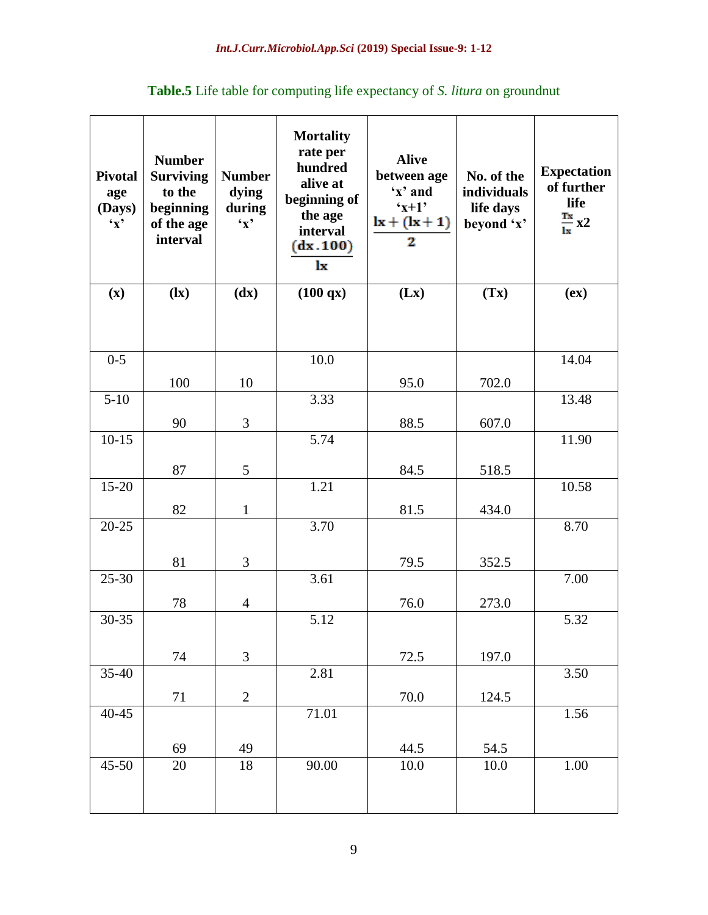| <b>Pivotal</b><br>age<br>(Days)<br>$\mathbf{Y}$ | <b>Number</b><br><b>Surviving</b><br>to the<br>beginning<br>of the age<br>interval | <b>Number</b><br>dying<br>during<br>$\mathbf{y}$ | <b>Mortality</b><br>rate per<br>hundred<br>alive at<br>beginning of<br>the age<br>interval<br>(dx.100)<br>lx | <b>Alive</b><br>between age<br>'x' and<br>$x+1$<br>$lx + (lx+1)$<br>2 | No. of the<br>individuals<br>life days<br>beyond 'x' | <b>Expectation</b><br>of further<br>life<br>$\frac{Tx}{lx}x2$ |
|-------------------------------------------------|------------------------------------------------------------------------------------|--------------------------------------------------|--------------------------------------------------------------------------------------------------------------|-----------------------------------------------------------------------|------------------------------------------------------|---------------------------------------------------------------|
| (x)                                             | $\left( \mathbf{I}\mathbf{x}\right)$                                               | (dx)                                             | (100 qx)                                                                                                     | (Lx)                                                                  | (Tx)                                                 | (ex)                                                          |
|                                                 |                                                                                    |                                                  |                                                                                                              |                                                                       |                                                      |                                                               |
| $0 - 5$                                         |                                                                                    |                                                  | 10.0                                                                                                         |                                                                       |                                                      | 14.04                                                         |
|                                                 | 100                                                                                | 10                                               |                                                                                                              | 95.0                                                                  | 702.0                                                |                                                               |
| $5 - 10$                                        |                                                                                    |                                                  | 3.33                                                                                                         |                                                                       |                                                      | 13.48                                                         |
|                                                 | 90                                                                                 | 3                                                |                                                                                                              | 88.5                                                                  | 607.0                                                |                                                               |
| $10-15$                                         |                                                                                    |                                                  | 5.74                                                                                                         |                                                                       |                                                      | 11.90                                                         |
|                                                 | 87                                                                                 | 5                                                |                                                                                                              | 84.5                                                                  | 518.5                                                |                                                               |
| $15-20$                                         |                                                                                    |                                                  | 1.21                                                                                                         |                                                                       |                                                      | 10.58                                                         |
|                                                 | 82                                                                                 | $\mathbf{1}$                                     |                                                                                                              | 81.5                                                                  | 434.0                                                |                                                               |
| $20 - 25$                                       |                                                                                    |                                                  | 3.70                                                                                                         |                                                                       |                                                      | 8.70                                                          |
|                                                 |                                                                                    |                                                  |                                                                                                              |                                                                       |                                                      |                                                               |
| $25 - 30$                                       | 81                                                                                 | 3                                                | 3.61                                                                                                         | 79.5                                                                  | 352.5                                                | 7.00                                                          |
|                                                 |                                                                                    |                                                  |                                                                                                              |                                                                       |                                                      |                                                               |
| $30 - 35$                                       | 78                                                                                 | $\overline{4}$                                   | 5.12                                                                                                         | 76.0                                                                  | 273.0                                                | 5.32                                                          |
|                                                 |                                                                                    |                                                  |                                                                                                              |                                                                       |                                                      |                                                               |
|                                                 | 74                                                                                 | 3                                                |                                                                                                              | 72.5                                                                  | 197.0                                                |                                                               |
| 35-40                                           |                                                                                    |                                                  | 2.81                                                                                                         |                                                                       |                                                      | 3.50                                                          |
|                                                 | $71\,$                                                                             | $\overline{c}$                                   |                                                                                                              | $70.0\,$                                                              | 124.5                                                |                                                               |
| $40 - 45$                                       |                                                                                    |                                                  | 71.01                                                                                                        |                                                                       |                                                      | 1.56                                                          |
|                                                 |                                                                                    |                                                  |                                                                                                              |                                                                       |                                                      |                                                               |
|                                                 | 69                                                                                 | 49                                               |                                                                                                              | 44.5                                                                  | 54.5                                                 |                                                               |
| 45-50                                           | $20\,$                                                                             | $18\,$                                           | 90.00                                                                                                        | $10.0\,$                                                              | $10.0\,$                                             | $1.00\,$                                                      |
|                                                 |                                                                                    |                                                  |                                                                                                              |                                                                       |                                                      |                                                               |

**Table.5** Life table for computing life expectancy of *S. litura* on groundnut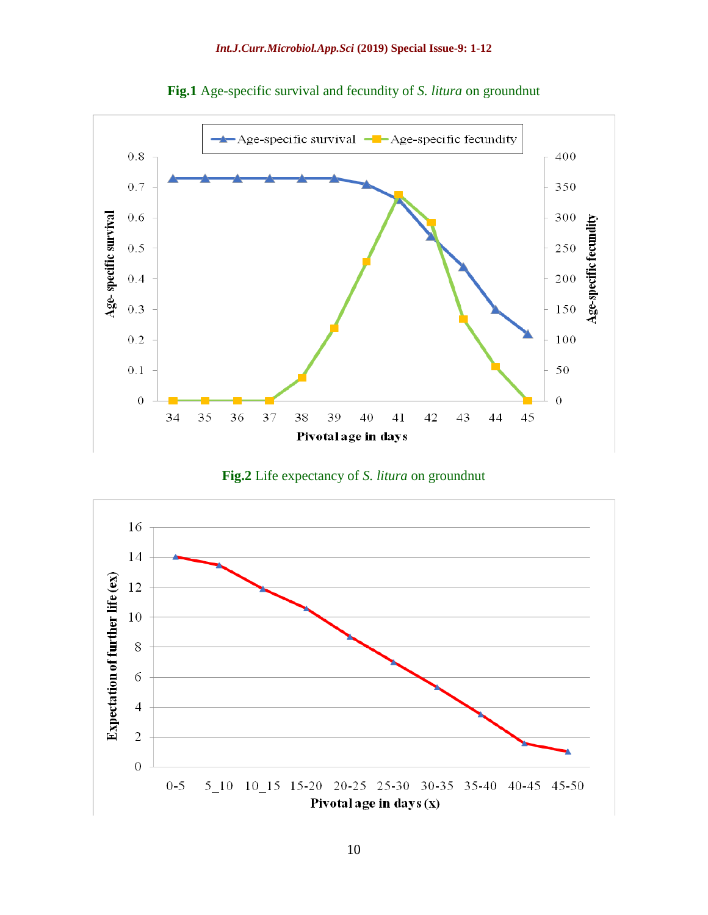





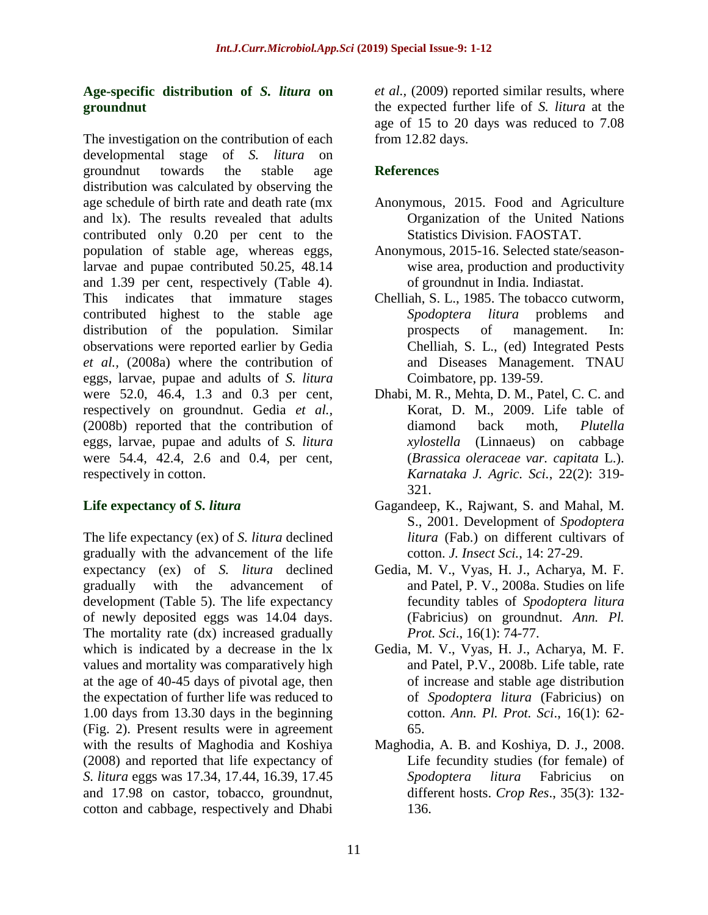## **Age-specific distribution of** *S. litura* **on groundnut**

The investigation on the contribution of each developmental stage of *S. litura* on groundnut towards the stable age distribution was calculated by observing the age schedule of birth rate and death rate (mx and lx). The results revealed that adults contributed only 0.20 per cent to the population of stable age, whereas eggs, larvae and pupae contributed 50.25, 48.14 and 1.39 per cent, respectively (Table 4). This indicates that immature stages contributed highest to the stable age distribution of the population. Similar observations were reported earlier by Gedia *et al.,* (2008a) where the contribution of eggs, larvae, pupae and adults of *S. litura*  were 52.0, 46.4, 1.3 and 0.3 per cent, respectively on groundnut. Gedia *et al.,* (2008b) reported that the contribution of eggs, larvae, pupae and adults of *S. litura* were 54.4, 42.4, 2.6 and 0.4, per cent, respectively in cotton.

# **Life expectancy of** *S. litura*

The life expectancy (ex) of *S. litura* declined gradually with the advancement of the life expectancy (ex) of *S. litura* declined gradually with the advancement of development (Table 5). The life expectancy of newly deposited eggs was 14.04 days. The mortality rate (dx) increased gradually which is indicated by a decrease in the lx values and mortality was comparatively high at the age of 40-45 days of pivotal age, then the expectation of further life was reduced to 1.00 days from 13.30 days in the beginning (Fig. 2). Present results were in agreement with the results of Maghodia and Koshiya (2008) and reported that life expectancy of *S. litura* eggs was 17.34, 17.44, 16.39, 17.45 and 17.98 on castor, tobacco, groundnut, cotton and cabbage, respectively and Dhabi

*et al.,* (2009) reported similar results, where the expected further life of *S. litura* at the age of 15 to 20 days was reduced to 7.08 from 12.82 days.

# **References**

- Anonymous, 2015. Food and Agriculture Organization of the United Nations Statistics Division. FAOSTAT.
- Anonymous, 2015-16. Selected state/seasonwise area, production and productivity of groundnut in India. Indiastat.
- Chelliah, S. L., 1985. The tobacco cutworm, *Spodoptera litura* problems and prospects of management. In: Chelliah, S. L., (ed) Integrated Pests and Diseases Management. TNAU Coimbatore, pp. 139-59.
- Dhabi, M. R., Mehta, D. M., Patel, C. C. and Korat, D. M., 2009. Life table of diamond back moth, *Plutella xylostella* (Linnaeus) on cabbage (*Brassica oleraceae var. capitata* L.). *Karnataka J. Agric. Sci.*, 22(2): 319- 321.
- Gagandeep, K., Rajwant, S. and Mahal, M. S., 2001. Development of *Spodoptera litura* (Fab.) on different cultivars of cotton. *J. Insect Sci.*, 14: 27-29.
- Gedia, M. V., Vyas, H. J., Acharya, M. F. and Patel, P. V., 2008a. Studies on life fecundity tables of *Spodoptera litura* (Fabricius) on groundnut. *Ann. Pl. Prot. Sci*., 16(1): 74-77.
- Gedia, M. V., Vyas, H. J., Acharya, M. F. and Patel, P.V., 2008b. Life table, rate of increase and stable age distribution of *Spodoptera litura* (Fabricius) on cotton. *Ann. Pl. Prot. Sci*., 16(1): 62- 65.
- Maghodia, A. B. and Koshiya, D. J., 2008. Life fecundity studies (for female) of *Spodoptera litura* Fabricius on different hosts. *Crop Res*., 35(3): 132- 136.